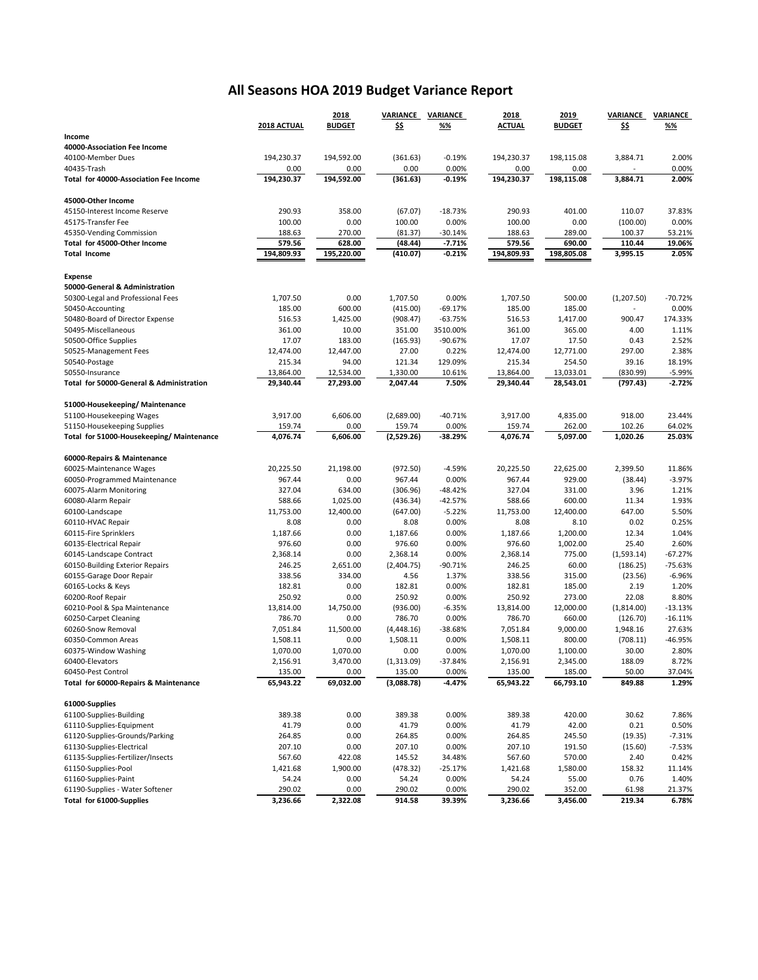## **All Seasons HOA 2019 Budget Variance Report**

|                                                         |                     | 2018               |                    | VARIANCE VARIANCE | 2018                | 2019                | <b>VARIANCE</b> | <b>VARIANCE</b> |
|---------------------------------------------------------|---------------------|--------------------|--------------------|-------------------|---------------------|---------------------|-----------------|-----------------|
|                                                         | 2018 ACTUAL         | <b>BUDGET</b>      | <u>\$\$</u>        | <u>%%</u>         | <b>ACTUAL</b>       | <b>BUDGET</b>       | \$\$            | <u>%%</u>       |
| Income                                                  |                     |                    |                    |                   |                     |                     |                 |                 |
| 40000-Association Fee Income                            |                     |                    |                    |                   |                     |                     |                 |                 |
| 40100-Member Dues<br>40435-Trash                        | 194,230.37<br>0.00  | 194,592.00         | (361.63)           | $-0.19%$          | 194,230.37          | 198,115.08          | 3,884.71        | 2.00%<br>0.00%  |
| Total for 40000-Association Fee Income                  | 194,230.37          | 0.00<br>194,592.00 | 0.00<br>(361.63)   | 0.00%<br>$-0.19%$ | 0.00<br>194,230.37  | 0.00<br>198,115.08  | 3,884.71        | 2.00%           |
|                                                         |                     |                    |                    |                   |                     |                     |                 |                 |
| 45000-Other Income                                      |                     |                    |                    |                   |                     |                     |                 |                 |
| 45150-Interest Income Reserve                           | 290.93              | 358.00             | (67.07)            | $-18.73%$         | 290.93              | 401.00              | 110.07          | 37.83%          |
| 45175-Transfer Fee                                      | 100.00              | 0.00               | 100.00             | 0.00%             | 100.00              | 0.00                | (100.00)        | 0.00%           |
| 45350-Vending Commission                                | 188.63              | 270.00             | (81.37)            | $-30.14%$         | 188.63              | 289.00              | 100.37          | 53.21%          |
| Total for 45000-Other Income                            | 579.56              | 628.00             | (48.44)            | $-7.71%$          | 579.56              | 690.00              | 110.44          | 19.06%          |
| <b>Total Income</b>                                     | 194,809.93          | 195,220.00         | (410.07)           | $-0.21%$          | 194,809.93          | 198,805.08          | 3,995.15        | 2.05%           |
| <b>Expense</b>                                          |                     |                    |                    |                   |                     |                     |                 |                 |
| 50000-General & Administration                          |                     |                    |                    |                   |                     |                     |                 |                 |
| 50300-Legal and Professional Fees                       | 1,707.50            | 0.00               | 1,707.50           | 0.00%             | 1,707.50            | 500.00              | (1, 207.50)     | $-70.72%$       |
| 50450-Accounting                                        | 185.00              | 600.00             | (415.00)           | $-69.17%$         | 185.00              | 185.00              |                 | 0.00%           |
| 50480-Board of Director Expense                         | 516.53              | 1,425.00           | (908.47)           | $-63.75%$         | 516.53              | 1,417.00            | 900.47          | 174.33%         |
| 50495-Miscellaneous                                     | 361.00              | 10.00              | 351.00             | 3510.00%          | 361.00              | 365.00              | 4.00            | 1.11%           |
| 50500-Office Supplies                                   | 17.07               | 183.00             | (165.93)           | -90.67%           | 17.07               | 17.50               | 0.43            | 2.52%           |
| 50525-Management Fees                                   | 12,474.00           | 12,447.00          | 27.00              | 0.22%             | 12,474.00           | 12,771.00           | 297.00          | 2.38%           |
| 50540-Postage                                           | 215.34              | 94.00              | 121.34             | 129.09%           | 215.34              | 254.50              | 39.16           | 18.19%          |
| 50550-Insurance                                         | 13,864.00           | 12,534.00          | 1,330.00           | 10.61%            | 13,864.00           | 13,033.01           | (830.99)        | $-5.99%$        |
| Total for 50000-General & Administration                | 29,340.44           | 27,293.00          | 2,047.44           | 7.50%             | 29,340.44           | 28,543.01           | (797.43)        | $-2.72%$        |
| 51000-Housekeeping/ Maintenance                         |                     |                    |                    |                   |                     |                     |                 |                 |
| 51100-Housekeeping Wages                                | 3,917.00            | 6,606.00           | (2,689.00)         | $-40.71%$         | 3,917.00            | 4,835.00            | 918.00          | 23.44%          |
| 51150-Housekeeping Supplies                             | 159.74              | 0.00               | 159.74             | 0.00%             | 159.74              | 262.00              | 102.26          | 64.02%          |
| Total for 51000-Housekeeping/ Maintenance               | 4,076.74            | 6,606.00           | (2,529.26)         | -38.29%           | 4,076.74            | 5,097.00            | 1,020.26        | 25.03%          |
|                                                         |                     |                    |                    |                   |                     |                     |                 |                 |
| 60000-Repairs & Maintenance                             |                     |                    |                    |                   |                     |                     | 2,399.50        | 11.86%          |
| 60025-Maintenance Wages<br>60050-Programmed Maintenance | 20,225.50<br>967.44 | 21,198.00<br>0.00  | (972.50)<br>967.44 | -4.59%<br>0.00%   | 20,225.50<br>967.44 | 22,625.00<br>929.00 | (38.44)         | $-3.97%$        |
| 60075-Alarm Monitoring                                  | 327.04              | 634.00             | (306.96)           | $-48.42%$         | 327.04              | 331.00              | 3.96            | 1.21%           |
| 60080-Alarm Repair                                      | 588.66              | 1,025.00           | (436.34)           | -42.57%           | 588.66              | 600.00              | 11.34           | 1.93%           |
| 60100-Landscape                                         | 11,753.00           | 12,400.00          | (647.00)           | $-5.22%$          | 11,753.00           | 12,400.00           | 647.00          | 5.50%           |
| 60110-HVAC Repair                                       | 8.08                | 0.00               | 8.08               | 0.00%             | 8.08                | 8.10                | 0.02            | 0.25%           |
| 60115-Fire Sprinklers                                   | 1,187.66            | 0.00               | 1,187.66           | 0.00%             | 1,187.66            | 1,200.00            | 12.34           | 1.04%           |
| 60135-Electrical Repair                                 | 976.60              | 0.00               | 976.60             | 0.00%             | 976.60              | 1,002.00            | 25.40           | 2.60%           |
| 60145-Landscape Contract                                | 2,368.14            | 0.00               | 2,368.14           | 0.00%             | 2,368.14            | 775.00              | (1,593.14)      | $-67.27%$       |
| 60150-Building Exterior Repairs                         | 246.25              | 2,651.00           | (2,404.75)         | $-90.71%$         | 246.25              | 60.00               | (186.25)        | -75.63%         |
| 60155-Garage Door Repair                                | 338.56              | 334.00             | 4.56               | 1.37%             | 338.56              | 315.00              | (23.56)         | $-6.96%$        |
| 60165-Locks & Keys                                      | 182.81              | 0.00               | 182.81             | 0.00%             | 182.81              | 185.00              | 2.19            | 1.20%           |
| 60200-Roof Repair                                       | 250.92              | 0.00               | 250.92             | 0.00%             | 250.92              | 273.00              | 22.08           | 8.80%           |
| 60210-Pool & Spa Maintenance                            | 13,814.00           | 14,750.00          | (936.00)           | $-6.35%$          | 13,814.00           | 12,000.00           | (1,814.00)      | $-13.13%$       |
| 60250-Carpet Cleaning                                   | 786.70              | 0.00               | 786.70             | 0.00%             | 786.70              | 660.00              | (126.70)        | $-16.11%$       |
| 60260-Snow Removal                                      | 7,051.84            | 11,500.00          | (4, 448.16)        | $-38.68%$         | 7,051.84            | 9,000.00            | 1,948.16        | 27.63%          |
| 60350-Common Areas                                      | 1,508.11            | 0.00               | 1,508.11           | 0.00%             | 1,508.11            | 800.00              | (708.11)        | -46.95%         |
| 60375-Window Washing                                    | 1,070.00            | 1,070.00           | 0.00               | 0.00%             | 1,070.00            | 1,100.00            | 30.00           | 2.80%           |
| 60400-Elevators                                         | 2,156.91            | 3,470.00           | (1,313.09)         | $-37.84%$         | 2,156.91            | 2,345.00            | 188.09          | 8.72%           |
| 60450-Pest Control                                      | 135.00              | 0.00               | 135.00             | 0.00%             | 135.00              | 185.00              | 50.00           | 37.04%          |
| Total for 60000-Repairs & Maintenance                   | 65,943.22           | 69,032.00          | (3,088.78)         | $-4.47%$          | 65,943.22           | 66,793.10           | 849.88          | 1.29%           |
| 61000-Supplies                                          |                     |                    |                    |                   |                     |                     |                 |                 |
| 61100-Supplies-Building                                 | 389.38              | 0.00               | 389.38             | 0.00%             | 389.38              | 420.00              | 30.62           | 7.86%           |
| 61110-Supplies-Equipment                                | 41.79               | 0.00               | 41.79              | 0.00%             | 41.79               | 42.00               | 0.21            | 0.50%           |
| 61120-Supplies-Grounds/Parking                          | 264.85              | 0.00               | 264.85             | 0.00%             | 264.85              | 245.50              | (19.35)         | $-7.31%$        |
| 61130-Supplies-Electrical                               | 207.10              | 0.00               | 207.10             | 0.00%             | 207.10              | 191.50              | (15.60)         | $-7.53%$        |
| 61135-Supplies-Fertilizer/Insects                       | 567.60              | 422.08             | 145.52             | 34.48%            | 567.60              | 570.00              | 2.40            | 0.42%           |
| 61150-Supplies-Pool                                     | 1,421.68            | 1,900.00           | (478.32)           | $-25.17%$         | 1,421.68            | 1,580.00            | 158.32          | 11.14%          |
| 61160-Supplies-Paint                                    | 54.24               | 0.00               | 54.24              | 0.00%             | 54.24               | 55.00               | 0.76            | 1.40%           |
| 61190-Supplies - Water Softener                         | 290.02              | 0.00               | 290.02             | 0.00%             | 290.02              | 352.00              | 61.98           | 21.37%          |
| Total for 61000-Supplies                                | 3,236.66            | 2,322.08           | 914.58             | 39.39%            | 3,236.66            | 3,456.00            | 219.34          | 6.78%           |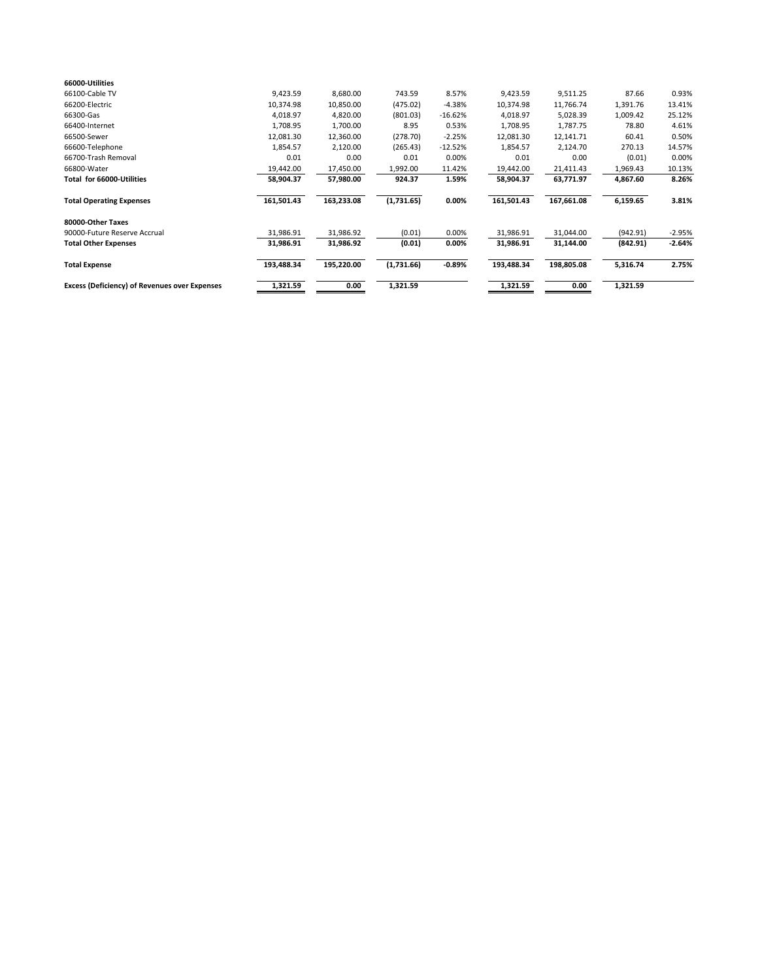| 66000-Utilities                               |            |            |            |           |            |            |          |          |
|-----------------------------------------------|------------|------------|------------|-----------|------------|------------|----------|----------|
| 66100-Cable TV                                | 9,423.59   | 8,680.00   | 743.59     | 8.57%     | 9,423.59   | 9,511.25   | 87.66    | 0.93%    |
| 66200-Electric                                | 10,374.98  | 10,850.00  | (475.02)   | $-4.38%$  | 10,374.98  | 11,766.74  | 1,391.76 | 13.41%   |
| 66300-Gas                                     | 4,018.97   | 4,820.00   | (801.03)   | $-16.62%$ | 4,018.97   | 5,028.39   | 1,009.42 | 25.12%   |
| 66400-Internet                                | 1,708.95   | 1,700.00   | 8.95       | 0.53%     | 1,708.95   | 1,787.75   | 78.80    | 4.61%    |
| 66500-Sewer                                   | 12,081.30  | 12,360.00  | (278.70)   | $-2.25%$  | 12,081.30  | 12,141.71  | 60.41    | 0.50%    |
| 66600-Telephone                               | 1,854.57   | 2,120.00   | (265.43)   | $-12.52%$ | 1,854.57   | 2,124.70   | 270.13   | 14.57%   |
| 66700-Trash Removal                           | 0.01       | 0.00       | 0.01       | 0.00%     | 0.01       | 0.00       | (0.01)   | 0.00%    |
| 66800-Water                                   | 19,442.00  | 17,450.00  | 1,992.00   | 11.42%    | 19,442.00  | 21,411.43  | 1,969.43 | 10.13%   |
| Total for 66000-Utilities                     | 58,904.37  | 57,980.00  | 924.37     | 1.59%     | 58,904.37  | 63,771.97  | 4,867.60 | 8.26%    |
| <b>Total Operating Expenses</b>               | 161,501.43 | 163,233.08 | (1,731.65) | 0.00%     | 161,501.43 | 167,661.08 | 6,159.65 | 3.81%    |
| 80000-Other Taxes                             |            |            |            |           |            |            |          |          |
| 90000-Future Reserve Accrual                  | 31,986.91  | 31,986.92  | (0.01)     | 0.00%     | 31,986.91  | 31,044.00  | (942.91) | $-2.95%$ |
| <b>Total Other Expenses</b>                   | 31,986.91  | 31,986.92  | (0.01)     | 0.00%     | 31,986.91  | 31,144.00  | (842.91) | $-2.64%$ |
| <b>Total Expense</b>                          | 193,488.34 | 195,220.00 | (1,731.66) | $-0.89%$  | 193,488.34 | 198,805.08 | 5,316.74 | 2.75%    |
| Excess (Deficiency) of Revenues over Expenses | 1,321.59   | 0.00       | 1,321.59   |           | 1,321.59   | 0.00       | 1,321.59 |          |